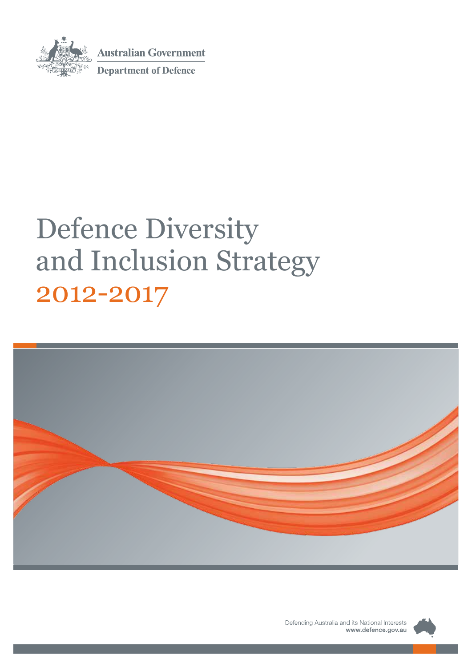

**Australian Government** 

**Department of Defence** 

# Defence Diversity and Inclusion Strategy 2012-2017



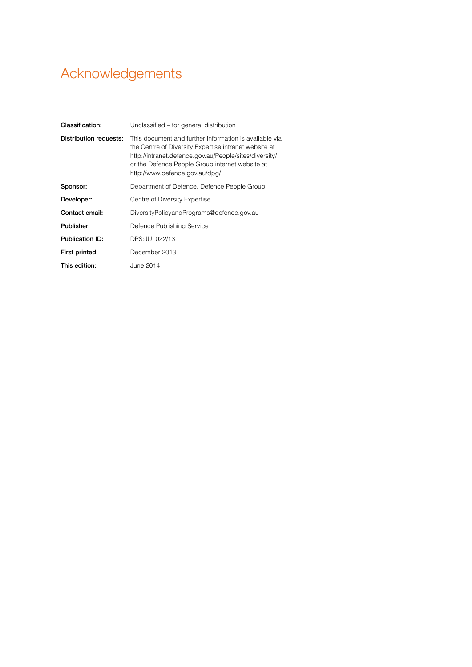## Acknowledgements

| Classification:        | Unclassified – for general distribution                                                                                                                                                                                                                        |  |
|------------------------|----------------------------------------------------------------------------------------------------------------------------------------------------------------------------------------------------------------------------------------------------------------|--|
| Distribution requests: | This document and further information is available via<br>the Centre of Diversity Expertise intranet website at<br>http://intranet.defence.gov.au/People/sites/diversity/<br>or the Defence People Group internet website at<br>http://www.defence.gov.au/dpg/ |  |
| Sponsor:               | Department of Defence, Defence People Group                                                                                                                                                                                                                    |  |
| Developer:             | Centre of Diversity Expertise                                                                                                                                                                                                                                  |  |
| Contact email:         | DiversityPolicyandPrograms@defence.gov.au                                                                                                                                                                                                                      |  |
| Publisher:             | Defence Publishing Service                                                                                                                                                                                                                                     |  |
| <b>Publication ID:</b> | DPS: JUL022/13                                                                                                                                                                                                                                                 |  |
| First printed:         | December 2013                                                                                                                                                                                                                                                  |  |
| This edition:          | June 2014                                                                                                                                                                                                                                                      |  |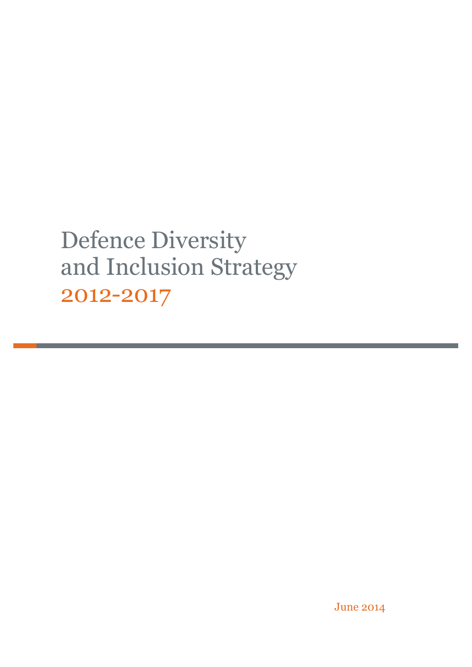Defence Diversity and Inclusion Strategy 2012-2017

June 2014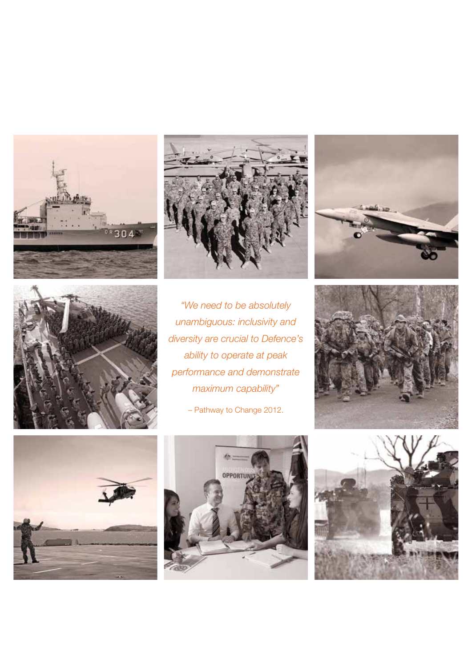





*"We need to be absolutely unambiguous: inclusivity and diversity are crucial to Defence's ability to operate at peak performance and demonstrate maximum capability"*

– Pathway to Change 2012.









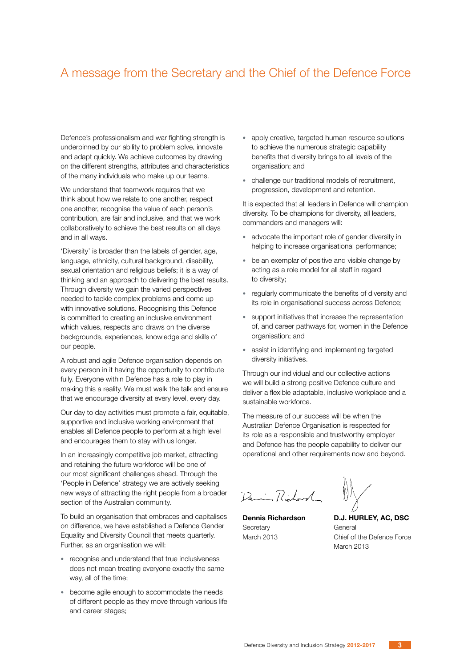#### A message from the Secretary and the Chief of the Defence Force

Defence's professionalism and war fighting strength is underpinned by our ability to problem solve, innovate and adapt quickly. We achieve outcomes by drawing on the different strengths, attributes and characteristics of the many individuals who make up our teams.

We understand that teamwork requires that we think about how we relate to one another, respect one another, recognise the value of each person's contribution, are fair and inclusive, and that we work collaboratively to achieve the best results on all days and in all ways.

'Diversity' is broader than the labels of gender, age, language, ethnicity, cultural background, disability, sexual orientation and religious beliefs; it is a way of thinking and an approach to delivering the best results. Through diversity we gain the varied perspectives needed to tackle complex problems and come up with innovative solutions. Recognising this Defence is committed to creating an inclusive environment which values, respects and draws on the diverse backgrounds, experiences, knowledge and skills of our people.

A robust and agile Defence organisation depends on every person in it having the opportunity to contribute fully. Everyone within Defence has a role to play in making this a reality. We must walk the talk and ensure that we encourage diversity at every level, every day.

Our day to day activities must promote a fair, equitable, supportive and inclusive working environment that enables all Defence people to perform at a high level and encourages them to stay with us longer.

In an increasingly competitive job market, attracting and retaining the future workforce will be one of our most significant challenges ahead. Through the 'People in Defence' strategy we are actively seeking new ways of attracting the right people from a broader section of the Australian community.

To build an organisation that embraces and capitalises on difference, we have established a Defence Gender Equality and Diversity Council that meets quarterly. Further, as an organisation we will:

- recognise and understand that true inclusiveness does not mean treating everyone exactly the same way, all of the time;
- become agile enough to accommodate the needs of different people as they move through various life and career stages;
- apply creative, targeted human resource solutions to achieve the numerous strategic capability benefits that diversity brings to all levels of the organisation; and
- challenge our traditional models of recruitment, progression, development and retention.

It is expected that all leaders in Defence will champion diversity. To be champions for diversity, all leaders, commanders and managers will:

- advocate the important role of gender diversity in helping to increase organisational performance;
- be an exemplar of positive and visible change by acting as a role model for all staff in regard to diversity;
- regularly communicate the benefits of diversity and its role in organisational success across Defence;
- support initiatives that increase the representation of, and career pathways for, women in the Defence organisation; and
- assist in identifying and implementing targeted diversity initiatives.

Through our individual and our collective actions we will build a strong positive Defence culture and deliver a flexible adaptable, inclusive workplace and a sustainable workforce.

The measure of our success will be when the Australian Defence Organisation is respected for its role as a responsible and trustworthy employer and Defence has the people capability to deliver our operational and other requirements now and beyond.

Demin Richard

**Dennis Richardson** Secretary March 2013

**D.J. HURLEY, AC, DSC** General Chief of the Defence Force March 2013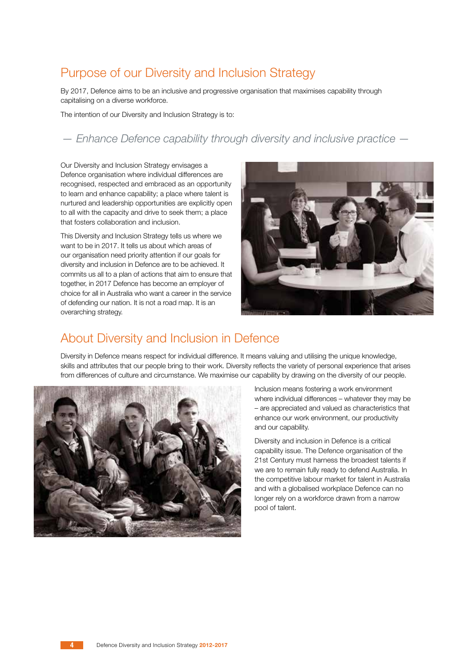#### Purpose of our Diversity and Inclusion Strategy

By 2017, Defence aims to be an inclusive and progressive organisation that maximises capability through capitalising on a diverse workforce.

The intention of our Diversity and Inclusion Strategy is to:

#### *— Enhance Defence capability through diversity and inclusive practice —*

Our Diversity and Inclusion Strategy envisages a Defence organisation where individual differences are recognised, respected and embraced as an opportunity to learn and enhance capability; a place where talent is nurtured and leadership opportunities are explicitly open to all with the capacity and drive to seek them; a place that fosters collaboration and inclusion.

This Diversity and Inclusion Strategy tells us where we want to be in 2017. It tells us about which areas of our organisation need priority attention if our goals for diversity and inclusion in Defence are to be achieved. It commits us all to a plan of actions that aim to ensure that together, in 2017 Defence has become an employer of choice for all in Australia who want a career in the service of defending our nation. It is not a road map. It is an overarching strategy.



#### About Diversity and Inclusion in Defence

Diversity in Defence means respect for individual difference. It means valuing and utilising the unique knowledge, skills and attributes that our people bring to their work. Diversity reflects the variety of personal experience that arises from differences of culture and circumstance. We maximise our capability by drawing on the diversity of our people.



Inclusion means fostering a work environment where individual differences – whatever they may be – are appreciated and valued as characteristics that enhance our work environment, our productivity and our capability.

Diversity and inclusion in Defence is a critical capability issue. The Defence organisation of the 21st Century must harness the broadest talents if we are to remain fully ready to defend Australia. In the competitive labour market for talent in Australia and with a globalised workplace Defence can no longer rely on a workforce drawn from a narrow pool of talent.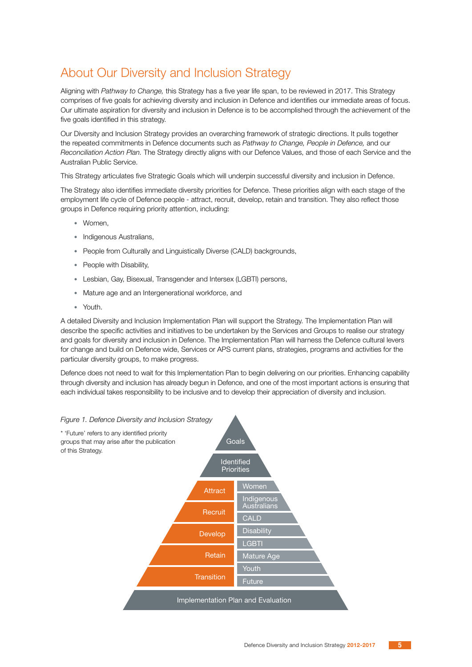### About Our Diversity and Inclusion Strategy

Aligning with *Pathway to Change,* this Strategy has a five year life span, to be reviewed in 2017. This Strategy comprises of five goals for achieving diversity and inclusion in Defence and identifies our immediate areas of focus. Our ultimate aspiration for diversity and inclusion in Defence is to be accomplished through the achievement of the five goals identified in this strategy.

Our Diversity and Inclusion Strategy provides an overarching framework of strategic directions. It pulls together the repeated commitments in Defence documents such as *Pathway to Change, People in Defence,* and our *Reconciliation Action Plan.* The Strategy directly aligns with our Defence Values, and those of each Service and the Australian Public Service.

This Strategy articulates five Strategic Goals which will underpin successful diversity and inclusion in Defence.

The Strategy also identifies immediate diversity priorities for Defence. These priorities align with each stage of the employment life cycle of Defence people - attract, recruit, develop, retain and transition. They also reflect those groups in Defence requiring priority attention, including:

- Women,
- Indigenous Australians,
- People from Culturally and Linguistically Diverse (CALD) backgrounds,
- People with Disability,
- Lesbian, Gay, Bisexual, Transgender and Intersex (LGBTI) persons,
- Mature age and an Intergenerational workforce, and
- Youth.

A detailed Diversity and Inclusion Implementation Plan will support the Strategy. The Implementation Plan will describe the specific activities and initiatives to be undertaken by the Services and Groups to realise our strategy and goals for diversity and inclusion in Defence. The Implementation Plan will harness the Defence cultural levers for change and build on Defence wide, Services or APS current plans, strategies, programs and activities for the particular diversity groups, to make progress.

Defence does not need to wait for this Implementation Plan to begin delivering on our priorities. Enhancing capability through diversity and inclusion has already begun in Defence, and one of the most important actions is ensuring that each individual takes responsibility to be inclusive and to develop their appreciation of diversity and inclusion.

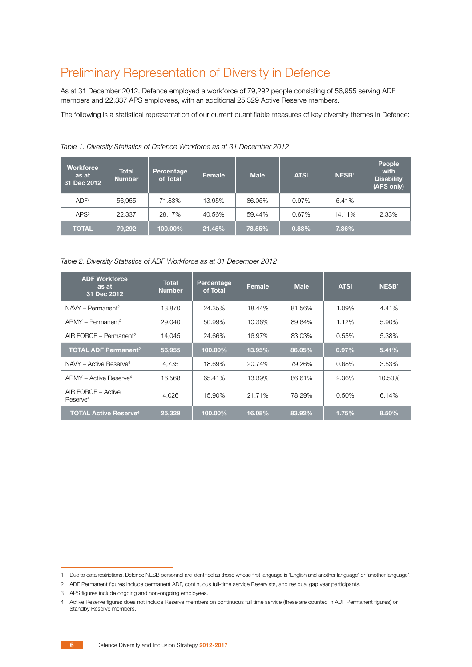#### Preliminary Representation of Diversity in Defence

As at 31 December 2012, Defence employed a workforce of 79,292 people consisting of 56,955 serving ADF members and 22,337 APS employees, with an additional 25,329 Active Reserve members.

The following is a statistical representation of our current quantifiable measures of key diversity themes in Defence:

| Workforce<br>as at<br>31 Dec 2012 | <b>Total</b><br><b>Number</b> | Percentage<br>of Total | Female | <b>Male</b> | <b>ATSI</b> | NESB <sup>1</sup> | People<br>with<br><b>Disability</b><br>(APS only) |
|-----------------------------------|-------------------------------|------------------------|--------|-------------|-------------|-------------------|---------------------------------------------------|
| ADF <sup>2</sup>                  | 56.955                        | 71.83%                 | 13.95% | 86.05%      | 0.97%       | 5.41%             |                                                   |
| APS <sup>3</sup>                  | 22.337                        | 28.17%                 | 40.56% | 59.44%      | 0.67%       | 14.11%            | 2.33%                                             |
| <b>TOTAL</b>                      | 79,292                        | 100.00%                | 21.45% | 78.55%      | 0.88%       | 7.86%             |                                                   |

*Table 1. Diversity Statistics of Defence Workforce as at 31 December 2012*

*Table 2. Diversity Statistics of ADF Workforce as at 31 December 2012*

| <b>ADF Workforce</b><br>as at<br>31 Dec 2012 | <b>Total</b><br><b>Number</b> | Percentage<br>of Total | Female | <b>Male</b> | <b>ATSI</b> | <b>NESB1</b> |
|----------------------------------------------|-------------------------------|------------------------|--------|-------------|-------------|--------------|
| $NAVY - Permanent2$                          | 13.870                        | 24.35%                 | 18.44% | 81.56%      | 1.09%       | 4.41%        |
| $ARMY - Permanent2$                          | 29,040                        | 50.99%                 | 10.36% | 89.64%      | 1.12%       | 5.90%        |
| AIR FORCE - Permanent <sup>2</sup>           | 14,045                        | 24.66%                 | 16.97% | 83.03%      | $0.55\%$    | 5.38%        |
| <b>TOTAL ADF Permanent<sup>2</sup></b>       | 56,955                        | 100.00%                | 13.95% | 86.05%      | 0.97%       | 5.41%        |
| NAVY - Active Reserve <sup>4</sup>           | 4.735                         | 18.69%                 | 20.74% | 79.26%      | 0.68%       | 3.53%        |
| $ARMY - Active Reserve4$                     | 16.568                        | 65.41%                 | 13.39% | 86.61%      | 2.36%       | 10.50%       |
| AIR FORCE - Active<br>Reserve <sup>4</sup>   | 4.026                         | 15.90%                 | 21.71% | 78.29%      | $0.50\%$    | 6.14%        |
| <b>TOTAL Active Reserve<sup>4</sup></b>      | 25,329                        | $100.00\%$             | 16.08% | 83.92%      | 1.75%       | 8.50%        |

3 APS figures include ongoing and non-ongoing employees.

<sup>1</sup> Due to data restrictions, Defence NESB personnel are identified as those whose first language is 'English and another language' or 'another language'.

<sup>2</sup> ADF Permanent figures include permanent ADF, continuous full-time service Reservists, and residual gap year participants.

<sup>4</sup> Active Reserve figures does not include Reserve members on continuous full time service (these are counted in ADF Permanent figures) or Standby Reserve members.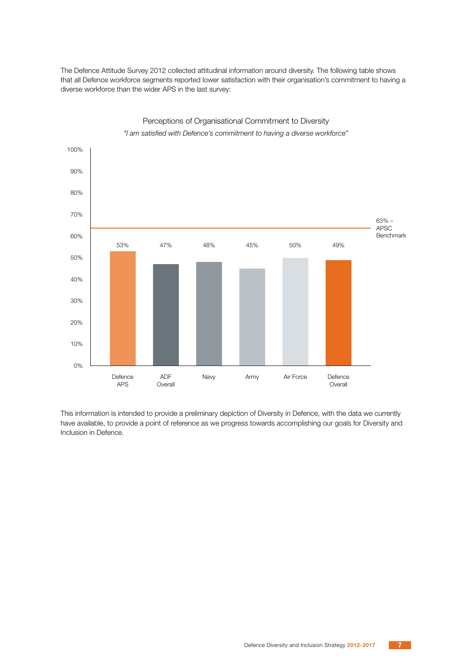The Defence Attitude Survey 2012 collected attitudinal information around diversity. The following table shows that all Defence workforce segments reported lower satisfaction with their organisation's commitment to having a diverse workforce than the wider APS in the last survey:



Perceptions of Organisational Commitment to Diversity *"I am satisfied with Defence's commitment to having a diverse workforce"*

This information is intended to provide a preliminary depiction of Diversity in Defence, with the data we currently have available, to provide a point of reference as we progress towards accomplishing our goals for Diversity and Inclusion in Defence.

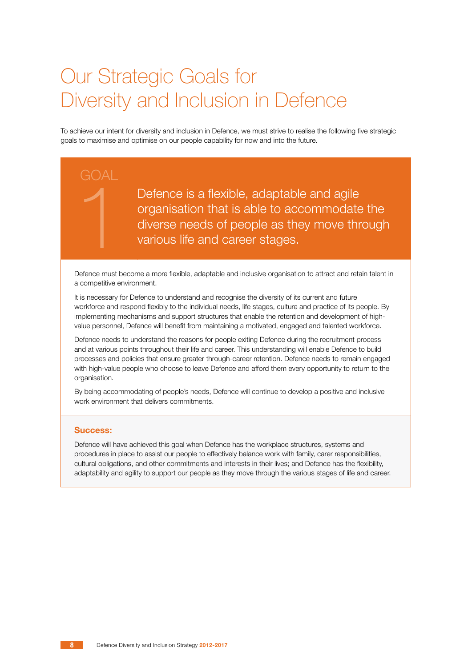## Our Strategic Goals for Diversity and Inclusion in Defence

To achieve our intent for diversity and inclusion in Defence, we must strive to realise the following five strategic goals to maximise and optimise on our people capability for now and into the future.

Defence is a flexible, adaptable and agile<br>organisation that is able to accommodate<br>diverse needs of people as they move thr<br>various life and career stages. organisation that is able to accommodate the diverse needs of people as they move through various life and career stages.

Defence must become a more flexible, adaptable and inclusive organisation to attract and retain talent in a competitive environment.

It is necessary for Defence to understand and recognise the diversity of its current and future workforce and respond flexibly to the individual needs, life stages, culture and practice of its people. By implementing mechanisms and support structures that enable the retention and development of highvalue personnel, Defence will benefit from maintaining a motivated, engaged and talented workforce.

Defence needs to understand the reasons for people exiting Defence during the recruitment process and at various points throughout their life and career. This understanding will enable Defence to build processes and policies that ensure greater through-career retention. Defence needs to remain engaged with high-value people who choose to leave Defence and afford them every opportunity to return to the organisation.

By being accommodating of people's needs, Defence will continue to develop a positive and inclusive work environment that delivers commitments.

#### **Success:**

Defence will have achieved this goal when Defence has the workplace structures, systems and procedures in place to assist our people to effectively balance work with family, carer responsibilities, cultural obligations, and other commitments and interests in their lives; and Defence has the flexibility, adaptability and agility to support our people as they move through the various stages of life and career.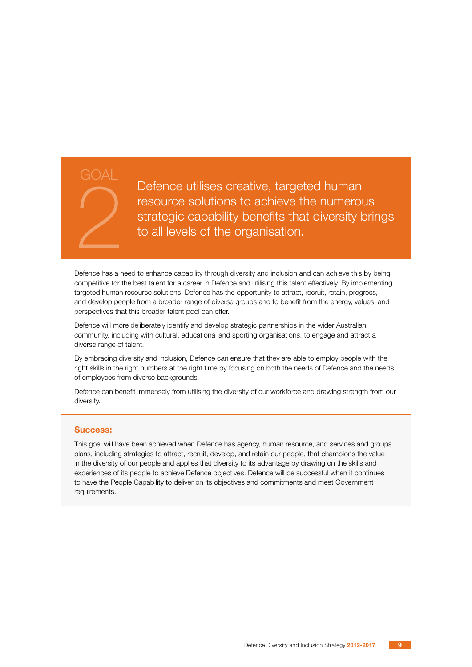Defence utilises creative, targeted human<br>resource solutions to achieve the numerous strategic capability benefits that diversity to all levels of the organisation. resource solutions to achieve the numerous strategic capability benefits that diversity brings to all levels of the organisation.

Defence has a need to enhance capability through diversity and inclusion and can achieve this by being competitive for the best talent for a career in Defence and utilising this talent effectively. By implementing targeted human resource solutions, Defence has the opportunity to attract, recruit, retain, progress, and develop people from a broader range of diverse groups and to benefit from the energy, values, and perspectives that this broader talent pool can offer.

Defence will more deliberately identify and develop strategic partnerships in the wider Australian community, including with cultural, educational and sporting organisations, to engage and attract a diverse range of talent.

By embracing diversity and inclusion, Defence can ensure that they are able to employ people with the right skills in the right numbers at the right time by focusing on both the needs of Defence and the needs of employees from diverse backgrounds.

Defence can benefit immensely from utilising the diversity of our workforce and drawing strength from our diversity.

#### **Success:**

This goal will have been achieved when Defence has agency, human resource, and services and groups plans, including strategies to attract, recruit, develop, and retain our people, that champions the value in the diversity of our people and applies that diversity to its advantage by drawing on the skills and experiences of its people to achieve Defence objectives. Defence will be successful when it continues to have the People Capability to deliver on its objectives and commitments and meet Government requirements.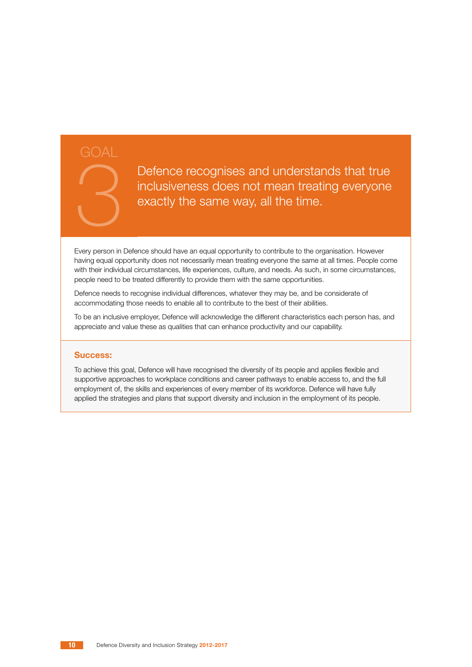Defence recognises and understands that true<br>inclusiveness does not mean treating everyone<br>exactly the same way, all the time. inclusiveness does not mean treating everyone exactly the same way, all the time.

Every person in Defence should have an equal opportunity to contribute to the organisation. However having equal opportunity does not necessarily mean treating everyone the same at all times. People come with their individual circumstances, life experiences, culture, and needs. As such, in some circumstances, people need to be treated differently to provide them with the same opportunities.

Defence needs to recognise individual differences, whatever they may be, and be considerate of accommodating those needs to enable all to contribute to the best of their abilities.

To be an inclusive employer, Defence will acknowledge the different characteristics each person has, and appreciate and value these as qualities that can enhance productivity and our capability.

#### **Success:**

To achieve this goal, Defence will have recognised the diversity of its people and applies flexible and supportive approaches to workplace conditions and career pathways to enable access to, and the full employment of, the skills and experiences of every member of its workforce. Defence will have fully applied the strategies and plans that support diversity and inclusion in the employment of its people.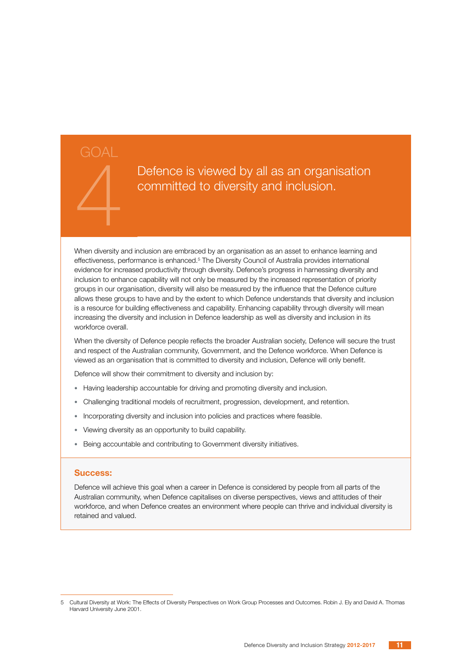#### Defence is viewed by all as an organisation committed to diversity and inclusion.

When diversity and inclusion are embraced by an organisation as an asset to enhance learning and effectiveness, performance is enhanced.<sup>5</sup> The Diversity Council of Australia provides international evidence for increased productivity through diversity. Defence's progress in harnessing diversity and inclusion to enhance capability will not only be measured by the increased representation of priority groups in our organisation, diversity will also be measured by the influence that the Defence culture allows these groups to have and by the extent to which Defence understands that diversity and inclusion is a resource for building effectiveness and capability. Enhancing capability through diversity will mean increasing the diversity and inclusion in Defence leadership as well as diversity and inclusion in its workforce overall.

When the diversity of Defence people reflects the broader Australian society, Defence will secure the trust and respect of the Australian community, Government, and the Defence workforce. When Defence is viewed as an organisation that is committed to diversity and inclusion, Defence will only benefit.

Defence will show their commitment to diversity and inclusion by:

- Having leadership accountable for driving and promoting diversity and inclusion.
- Challenging traditional models of recruitment, progression, development, and retention.
- Incorporating diversity and inclusion into policies and practices where feasible.
- Viewing diversity as an opportunity to build capability.
- Being accountable and contributing to Government diversity initiatives.

#### **Success:**

Defence will achieve this goal when a career in Defence is considered by people from all parts of the Australian community, when Defence capitalises on diverse perspectives, views and attitudes of their workforce, and when Defence creates an environment where people can thrive and individual diversity is retained and valued.

<sup>5</sup> Cultural Diversity at Work: The Effects of Diversity Perspectives on Work Group Processes and Outcomes. Robin J. Ely and David A. Thomas Harvard University June 2001.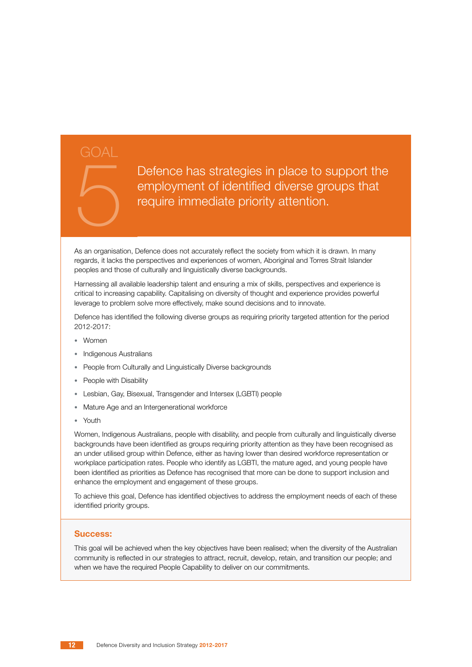Defence has strategies in place to support the<br>employment of identified diverse groups that<br>require immediate priority attention. employment of identified diverse groups that require immediate priority attention.

As an organisation, Defence does not accurately reflect the society from which it is drawn. In many regards, it lacks the perspectives and experiences of women, Aboriginal and Torres Strait Islander peoples and those of culturally and linguistically diverse backgrounds.

Harnessing all available leadership talent and ensuring a mix of skills, perspectives and experience is critical to increasing capability. Capitalising on diversity of thought and experience provides powerful leverage to problem solve more effectively, make sound decisions and to innovate.

Defence has identified the following diverse groups as requiring priority targeted attention for the period 2012-2017:

- Women
- Indigenous Australians
- People from Culturally and Linguistically Diverse backgrounds
- People with Disability
- Lesbian, Gay, Bisexual, Transgender and Intersex (LGBTI) people
- Mature Age and an Intergenerational workforce
- Youth

Women, Indigenous Australians, people with disability, and people from culturally and linguistically diverse backgrounds have been identified as groups requiring priority attention as they have been recognised as an under utilised group within Defence, either as having lower than desired workforce representation or workplace participation rates. People who identify as LGBTI, the mature aged, and young people have been identified as priorities as Defence has recognised that more can be done to support inclusion and enhance the employment and engagement of these groups.

To achieve this goal, Defence has identified objectives to address the employment needs of each of these identified priority groups.

#### **Success:**

This goal will be achieved when the key objectives have been realised; when the diversity of the Australian community is reflected in our strategies to attract, recruit, develop, retain, and transition our people; and when we have the required People Capability to deliver on our commitments.

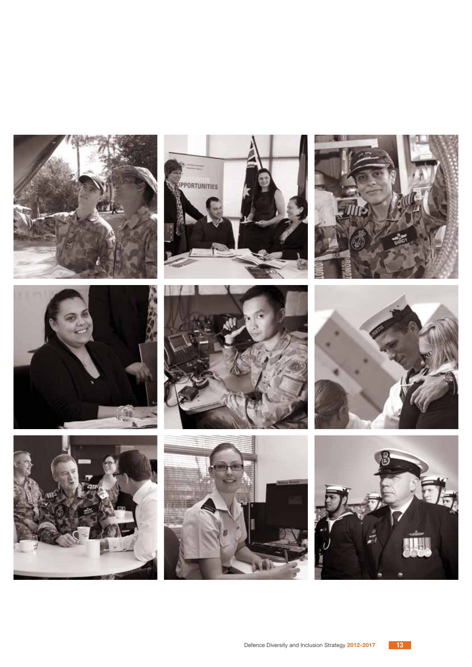

















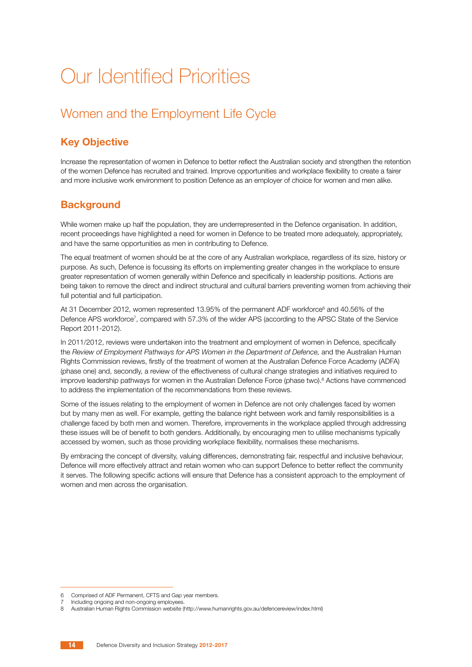## Our Identified Priorities

#### Women and the Employment Life Cycle

#### **Key Objective**

Increase the representation of women in Defence to better reflect the Australian society and strengthen the retention of the women Defence has recruited and trained. Improve opportunities and workplace flexibility to create a fairer and more inclusive work environment to position Defence as an employer of choice for women and men alike.

#### **Background**

While women make up half the population, they are underrepresented in the Defence organisation. In addition, recent proceedings have highlighted a need for women in Defence to be treated more adequately, appropriately, and have the same opportunities as men in contributing to Defence.

The equal treatment of women should be at the core of any Australian workplace, regardless of its size, history or purpose. As such, Defence is focussing its efforts on implementing greater changes in the workplace to ensure greater representation of women generally within Defence and specifically in leadership positions. Actions are being taken to remove the direct and indirect structural and cultural barriers preventing women from achieving their full potential and full participation.

At 31 December 2012, women represented 13.95% of the permanent ADF workforce<sup>6</sup> and 40.56% of the Defence APS workforce<sup>7</sup>, compared with 57.3% of the wider APS (according to the APSC State of the Service Report 2011-2012).

In 2011/2012, reviews were undertaken into the treatment and employment of women in Defence, specifically the *Review of Employment Pathways for APS Women in the Department of Defence,* and the Australian Human Rights Commission reviews, firstly of the treatment of women at the Australian Defence Force Academy (ADFA) (phase one) and, secondly, a review of the effectiveness of cultural change strategies and initiatives required to improve leadership pathways for women in the Australian Defence Force (phase two).<sup>8</sup> Actions have commenced to address the implementation of the recommendations from these reviews.

Some of the issues relating to the employment of women in Defence are not only challenges faced by women but by many men as well. For example, getting the balance right between work and family responsibilities is a challenge faced by both men and women. Therefore, improvements in the workplace applied through addressing these issues will be of benefit to both genders. Additionally, by encouraging men to utilise mechanisms typically accessed by women, such as those providing workplace flexibility, normalises these mechanisms.

By embracing the concept of diversity, valuing differences, demonstrating fair, respectful and inclusive behaviour, Defence will more effectively attract and retain women who can support Defence to better reflect the community it serves. The following specific actions will ensure that Defence has a consistent approach to the employment of women and men across the organisation.

<sup>6</sup> Comprised of ADF Permanent, CFTS and Gap year members.

Including ongoing and non-ongoing employees

<sup>8</sup> Australian Human Rights Commission website (http://www.humanrights.gov.au/defencereview/index.html)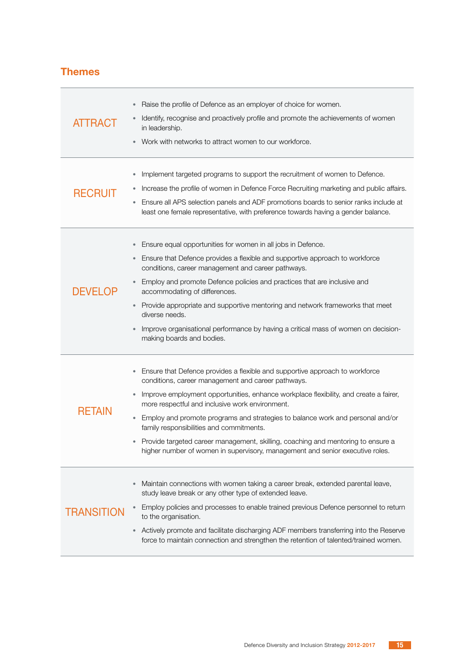| <b>ATTRACT</b>    | Raise the profile of Defence as an employer of choice for women.<br>$\bullet$<br>Identify, recognise and proactively profile and promote the achievements of women<br>in leadership.<br>Work with networks to attract women to our workforce.                                                                                                                                                                                                                                                                                                                                                                    |
|-------------------|------------------------------------------------------------------------------------------------------------------------------------------------------------------------------------------------------------------------------------------------------------------------------------------------------------------------------------------------------------------------------------------------------------------------------------------------------------------------------------------------------------------------------------------------------------------------------------------------------------------|
| <b>RECRUIT</b>    | Implement targeted programs to support the recruitment of women to Defence.<br>۰<br>Increase the profile of women in Defence Force Recruiting marketing and public affairs.<br>۰<br>Ensure all APS selection panels and ADF promotions boards to senior ranks include at<br>$\bullet$<br>least one female representative, with preference towards having a gender balance.                                                                                                                                                                                                                                       |
| <b>DEVELOP</b>    | Ensure equal opportunities for women in all jobs in Defence.<br>$\bullet$<br>Ensure that Defence provides a flexible and supportive approach to workforce<br>$\bullet$<br>conditions, career management and career pathways.<br>Employ and promote Defence policies and practices that are inclusive and<br>accommodating of differences.<br>• Provide appropriate and supportive mentoring and network frameworks that meet<br>diverse needs.<br>Improve organisational performance by having a critical mass of women on decision-<br>$\bullet$<br>making boards and bodies.                                   |
| <b>RETAIN</b>     | Ensure that Defence provides a flexible and supportive approach to workforce<br>٠<br>conditions, career management and career pathways.<br>Improve employment opportunities, enhance workplace flexibility, and create a fairer,<br>$\bullet$<br>more respectful and inclusive work environment.<br>Employ and promote programs and strategies to balance work and personal and/or<br>$\bullet$<br>family responsibilities and commitments.<br>Provide targeted career management, skilling, coaching and mentoring to ensure a<br>higher number of women in supervisory, management and senior executive roles. |
| <b>TRANSITION</b> | Maintain connections with women taking a career break, extended parental leave,<br>$\bullet$<br>study leave break or any other type of extended leave.<br>Employ policies and processes to enable trained previous Defence personnel to return<br>to the organisation.<br>Actively promote and facilitate discharging ADF members transferring into the Reserve<br>force to maintain connection and strengthen the retention of talented/trained women.                                                                                                                                                          |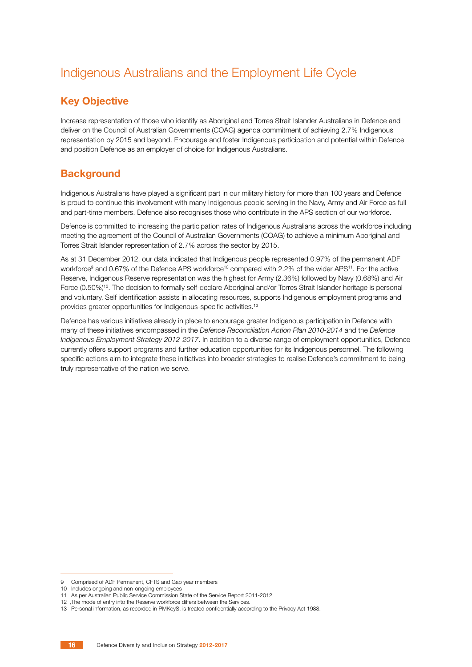#### Indigenous Australians and the Employment Life Cycle

#### **Key Objective**

Increase representation of those who identify as Aboriginal and Torres Strait Islander Australians in Defence and deliver on the Council of Australian Governments (COAG) agenda commitment of achieving 2.7% Indigenous representation by 2015 and beyond. Encourage and foster Indigenous participation and potential within Defence and position Defence as an employer of choice for Indigenous Australians.

#### **Background**

Indigenous Australians have played a significant part in our military history for more than 100 years and Defence is proud to continue this involvement with many Indigenous people serving in the Navy, Army and Air Force as full and part-time members. Defence also recognises those who contribute in the APS section of our workforce.

Defence is committed to increasing the participation rates of Indigenous Australians across the workforce including meeting the agreement of the Council of Australian Governments (COAG) to achieve a minimum Aboriginal and Torres Strait Islander representation of 2.7% across the sector by 2015.

As at 31 December 2012, our data indicated that Indigenous people represented 0.97% of the permanent ADF workforce<sup>9</sup> and 0.67% of the Defence APS workforce<sup>10</sup> compared with 2.2% of the wider APS<sup>11</sup>. For the active Reserve, Indigenous Reserve representation was the highest for Army (2.36%) followed by Navy (0.68%) and Air Force  $(0.50\%)$ <sup>12</sup>. The decision to formally self-declare Aboriginal and/or Torres Strait Islander heritage is personal and voluntary. Self identification assists in allocating resources, supports Indigenous employment programs and provides greater opportunities for Indigenous-specific activities.<sup>13</sup>

Defence has various initiatives already in place to encourage greater Indigenous participation in Defence with many of these initiatives encompassed in the *Defence Reconciliation Action Plan 2010-2014* and the *Defence Indigenous Employment Strategy 2012-2017*. In addition to a diverse range of employment opportunities, Defence currently offers support programs and further education opportunities for its Indigenous personnel. The following specific actions aim to integrate these initiatives into broader strategies to realise Defence's commitment to being truly representative of the nation we serve.

<sup>9</sup> Comprised of ADF Permanent, CFTS and Gap year members

<sup>10</sup> Includes ongoing and non-ongoing employees

<sup>11</sup> As per Australian Public Service Commission State of the Service Report 2011-2012

<sup>12</sup> ,The mode of entry into the Reserve workforce differs between the Services.

<sup>13</sup> Personal information, as recorded in PMKeyS, is treated confidentially according to the Privacy Act 1988.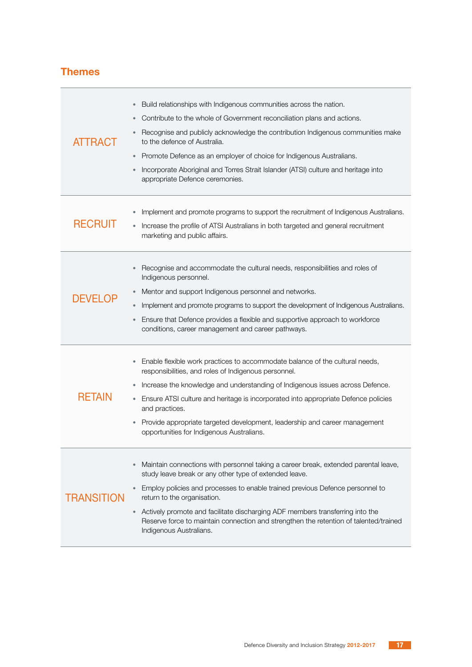| <b>ATTRACT</b>    | Build relationships with Indigenous communities across the nation.<br>$\bullet$<br>Contribute to the whole of Government reconciliation plans and actions.<br>$\bullet$<br>Recognise and publicly acknowledge the contribution Indigenous communities make<br>$\bullet$<br>to the defence of Australia.<br>Promote Defence as an employer of choice for Indigenous Australians.<br>Incorporate Aboriginal and Torres Strait Islander (ATSI) culture and heritage into<br>$\bullet$<br>appropriate Defence ceremonies. |
|-------------------|-----------------------------------------------------------------------------------------------------------------------------------------------------------------------------------------------------------------------------------------------------------------------------------------------------------------------------------------------------------------------------------------------------------------------------------------------------------------------------------------------------------------------|
| <b>RECRUIT</b>    | Implement and promote programs to support the recruitment of Indigenous Australians.<br>$\bullet$<br>Increase the profile of ATSI Australians in both targeted and general recruitment<br>marketing and public affairs.                                                                                                                                                                                                                                                                                               |
| <b>DEVELOP</b>    | Recognise and accommodate the cultural needs, responsibilities and roles of<br>$\bullet$<br>Indigenous personnel.<br>Mentor and support Indigenous personnel and networks.<br>Implement and promote programs to support the development of Indigenous Australians.<br>Ensure that Defence provides a flexible and supportive approach to workforce<br>$\bullet$<br>conditions, career management and career pathways.                                                                                                 |
| <b>RETAIN</b>     | Enable flexible work practices to accommodate balance of the cultural needs,<br>$\bullet$<br>responsibilities, and roles of Indigenous personnel.<br>Increase the knowledge and understanding of Indigenous issues across Defence.<br>• Ensure ATSI culture and heritage is incorporated into appropriate Defence policies<br>and practices.<br>Provide appropriate targeted development, leadership and career management<br>$\bullet$<br>opportunities for Indigenous Australians.                                  |
| <b>TRANSITION</b> | Maintain connections with personnel taking a career break, extended parental leave,<br>$\bullet$<br>study leave break or any other type of extended leave.<br>Employ policies and processes to enable trained previous Defence personnel to<br>return to the organisation.<br>Actively promote and facilitate discharging ADF members transferring into the<br>$\bullet$<br>Reserve force to maintain connection and strengthen the retention of talented/trained<br>Indigenous Australians.                          |

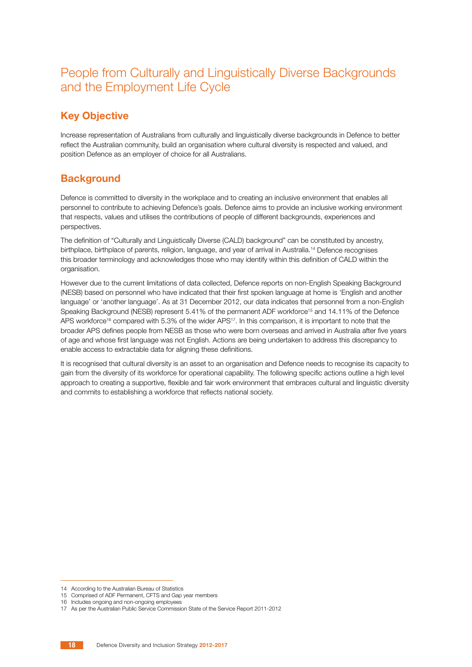#### People from Culturally and Linguistically Diverse Backgrounds and the Employment Life Cycle

#### **Key Objective**

Increase representation of Australians from culturally and linguistically diverse backgrounds in Defence to better reflect the Australian community, build an organisation where cultural diversity is respected and valued, and position Defence as an employer of choice for all Australians.

#### **Background**

Defence is committed to diversity in the workplace and to creating an inclusive environment that enables all personnel to contribute to achieving Defence's goals. Defence aims to provide an inclusive working environment that respects, values and utilises the contributions of people of different backgrounds, experiences and perspectives.

The definition of "Culturally and Linguistically Diverse (CALD) background" can be constituted by ancestry, birthplace, birthplace of parents, religion, language, and year of arrival in Australia.14 Defence recognises this broader terminology and acknowledges those who may identify within this definition of CALD within the organisation.

However due to the current limitations of data collected, Defence reports on non-English Speaking Background (NESB) based on personnel who have indicated that their first spoken language at home is 'English and another language' or 'another language'. As at 31 December 2012, our data indicates that personnel from a non-English Speaking Background (NESB) represent 5.41% of the permanent ADF workforce<sup>15</sup> and 14.11% of the Defence APS workforce<sup>16</sup> compared with 5.3% of the wider APS<sup>17</sup>. In this comparison, it is important to note that the broader APS defines people from NESB as those who were born overseas and arrived in Australia after five years of age and whose first language was not English. Actions are being undertaken to address this discrepancy to enable access to extractable data for aligning these definitions.

It is recognised that cultural diversity is an asset to an organisation and Defence needs to recognise its capacity to gain from the diversity of its workforce for operational capability. The following specific actions outline a high level approach to creating a supportive, flexible and fair work environment that embraces cultural and linguistic diversity and commits to establishing a workforce that reflects national society.

<sup>14</sup> According to the Australian Bureau of Statistics

<sup>15</sup> Comprised of ADF Permanent, CFTS and Gap year members

<sup>16</sup> Includes ongoing and non-ongoing employees

<sup>17</sup> As per the Australian Public Service Commission State of the Service Report 2011-2012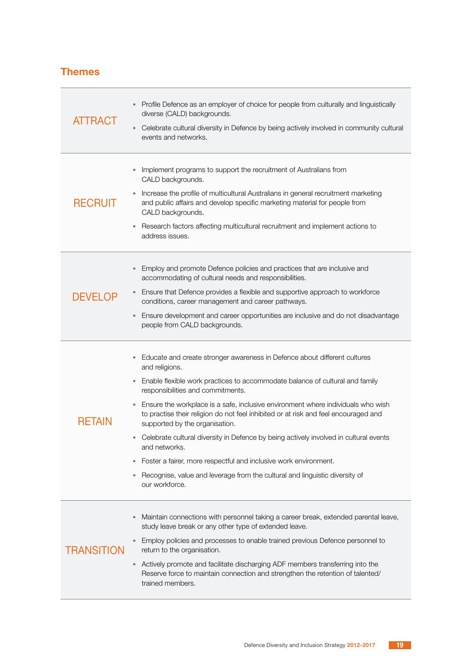| <b>ATTRACT</b>    | Profile Defence as an employer of choice for people from culturally and linguistically<br>diverse (CALD) backgrounds.<br>Celebrate cultural diversity in Defence by being actively involved in community cultural<br>events and networks.                                                                                                                                                                                                                                                                                                                                                                                                                                                                                                          |
|-------------------|----------------------------------------------------------------------------------------------------------------------------------------------------------------------------------------------------------------------------------------------------------------------------------------------------------------------------------------------------------------------------------------------------------------------------------------------------------------------------------------------------------------------------------------------------------------------------------------------------------------------------------------------------------------------------------------------------------------------------------------------------|
| <b>RECRUIT</b>    | Implement programs to support the recruitment of Australians from<br>$\bullet$<br>CALD backgrounds.<br>Increase the profile of multicultural Australians in general recruitment marketing<br>and public affairs and develop specific marketing material for people from<br>CALD backgrounds.<br>Research factors affecting multicultural recruitment and implement actions to<br>$\bullet$<br>address issues.                                                                                                                                                                                                                                                                                                                                      |
| <b>DEVELOP</b>    | Employ and promote Defence policies and practices that are inclusive and<br>accommodating of cultural needs and responsibilities.<br>• Ensure that Defence provides a flexible and supportive approach to workforce<br>conditions, career management and career pathways.<br>Ensure development and career opportunities are inclusive and do not disadvantage<br>people from CALD backgrounds.                                                                                                                                                                                                                                                                                                                                                    |
| <b>RETAIN</b>     | Educate and create stronger awareness in Defence about different cultures<br>۰<br>and religions.<br>Enable flexible work practices to accommodate balance of cultural and family<br>$\bullet$<br>responsibilities and commitments.<br>• Ensure the workplace is a safe, inclusive environment where individuals who wish<br>to practise their religion do not feel inhibited or at risk and feel encouraged and<br>supported by the organisation.<br>Celebrate cultural diversity in Defence by being actively involved in cultural events<br>$\bullet$<br>and networks.<br>Foster a fairer, more respectful and inclusive work environment.<br>۰<br>Recognise, value and leverage from the cultural and linguistic diversity of<br>our workforce. |
| <b>TRANSITION</b> | Maintain connections with personnel taking a career break, extended parental leave,<br>$\bullet$<br>study leave break or any other type of extended leave.<br>Employ policies and processes to enable trained previous Defence personnel to<br>return to the organisation.<br>Actively promote and facilitate discharging ADF members transferring into the<br>Reserve force to maintain connection and strengthen the retention of talented/<br>trained members.                                                                                                                                                                                                                                                                                  |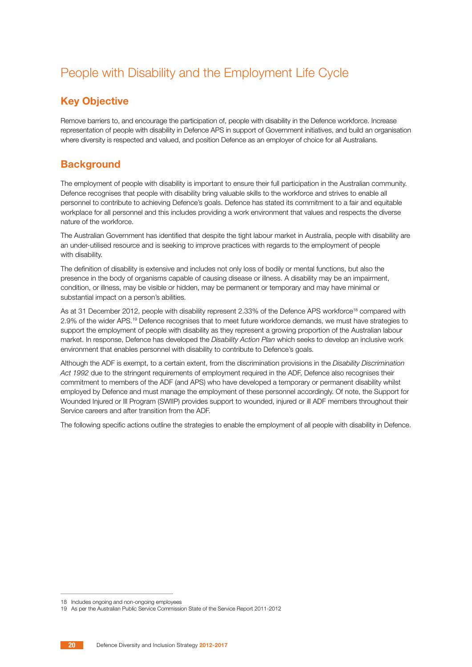### People with Disability and the Employment Life Cycle

#### **Key Objective**

Remove barriers to, and encourage the participation of, people with disability in the Defence workforce. Increase representation of people with disability in Defence APS in support of Government initiatives, and build an organisation where diversity is respected and valued, and position Defence as an employer of choice for all Australians.

#### **Background**

The employment of people with disability is important to ensure their full participation in the Australian community. Defence recognises that people with disability bring valuable skills to the workforce and strives to enable all personnel to contribute to achieving Defence's goals. Defence has stated its commitment to a fair and equitable workplace for all personnel and this includes providing a work environment that values and respects the diverse nature of the workforce.

The Australian Government has identified that despite the tight labour market in Australia, people with disability are an under-utilised resource and is seeking to improve practices with regards to the employment of people with disability.

The definition of disability is extensive and includes not only loss of bodily or mental functions, but also the presence in the body of organisms capable of causing disease or illness. A disability may be an impairment, condition, or illness, may be visible or hidden, may be permanent or temporary and may have minimal or substantial impact on a person's abilities.

As at 31 December 2012, people with disability represent 2.33% of the Defence APS workforce<sup>18</sup> compared with 2.9% of the wider APS.19 Defence recognises that to meet future workforce demands, we must have strategies to support the employment of people with disability as they represent a growing proportion of the Australian labour market. In response, Defence has developed the *Disability Action Plan* which seeks to develop an inclusive work environment that enables personnel with disability to contribute to Defence's goals.

Although the ADF is exempt, to a certain extent, from the discrimination provisions in the *Disability Discrimination Act 1992* due to the stringent requirements of employment required in the ADF, Defence also recognises their commitment to members of the ADF (and APS) who have developed a temporary or permanent disability whilst employed by Defence and must manage the employment of these personnel accordingly. Of note, the Support for Wounded Injured or Ill Program (SWIIP) provides support to wounded, injured or ill ADF members throughout their Service careers and after transition from the ADF.

The following specific actions outline the strategies to enable the employment of all people with disability in Defence.

<sup>18</sup> Includes ongoing and non-ongoing employees

<sup>19</sup> As per the Australian Public Service Commission State of the Service Report 2011-2012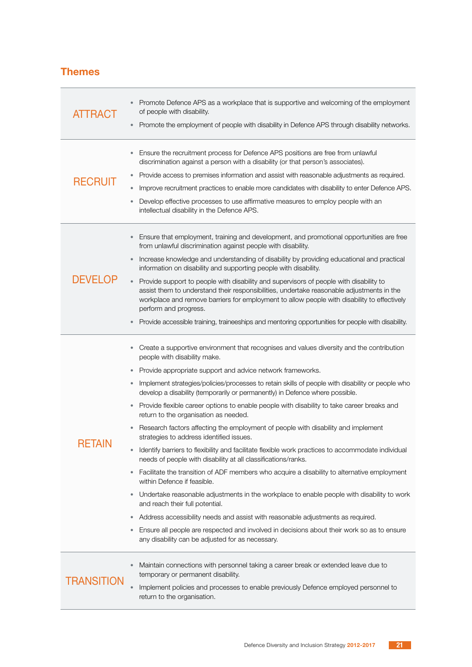| <b>ATTRACT</b>    | Promote Defence APS as a workplace that is supportive and welcoming of the employment<br>of people with disability.<br>Promote the employment of people with disability in Defence APS through disability networks.                                                                                                                                                                                                                                                                                                                                                                                                                                                                                                                                                                                                                                                                                                                                                                                                                                                                                                                                                                                                                                                                                                                                                                                         |
|-------------------|-------------------------------------------------------------------------------------------------------------------------------------------------------------------------------------------------------------------------------------------------------------------------------------------------------------------------------------------------------------------------------------------------------------------------------------------------------------------------------------------------------------------------------------------------------------------------------------------------------------------------------------------------------------------------------------------------------------------------------------------------------------------------------------------------------------------------------------------------------------------------------------------------------------------------------------------------------------------------------------------------------------------------------------------------------------------------------------------------------------------------------------------------------------------------------------------------------------------------------------------------------------------------------------------------------------------------------------------------------------------------------------------------------------|
| <b>RECRUIT</b>    | Ensure the recruitment process for Defence APS positions are free from unlawful<br>$\bullet$<br>discrimination against a person with a disability (or that person's associates).<br>Provide access to premises information and assist with reasonable adjustments as required.<br>$\bullet$<br>Improve recruitment practices to enable more candidates with disability to enter Defence APS.<br>Develop effective processes to use affirmative measures to employ people with an<br>$\bullet$<br>intellectual disability in the Defence APS.                                                                                                                                                                                                                                                                                                                                                                                                                                                                                                                                                                                                                                                                                                                                                                                                                                                                |
| <b>DEVELOP</b>    | Ensure that employment, training and development, and promotional opportunities are free<br>$\bullet$<br>from unlawful discrimination against people with disability.<br>Increase knowledge and understanding of disability by providing educational and practical<br>$\bullet$<br>information on disability and supporting people with disability.<br>Provide support to people with disability and supervisors of people with disability to<br>assist them to understand their responsibilities, undertake reasonable adjustments in the<br>workplace and remove barriers for employment to allow people with disability to effectively<br>perform and progress.<br>Provide accessible training, traineeships and mentoring opportunities for people with disability.                                                                                                                                                                                                                                                                                                                                                                                                                                                                                                                                                                                                                                     |
| RETAIN            | Create a supportive environment that recognises and values diversity and the contribution<br>people with disability make.<br>Provide appropriate support and advice network frameworks.<br>$\bullet$<br>Implement strategies/policies/processes to retain skills of people with disability or people who<br>$\bullet$<br>develop a disability (temporarily or permanently) in Defence where possible.<br>Provide flexible career options to enable people with disability to take career breaks and<br>$\bullet$<br>return to the organisation as needed.<br>Research factors affecting the employment of people with disability and implement<br>$\bullet$<br>strategies to address identified issues.<br>Identify barriers to flexibility and facilitate flexible work practices to accommodate individual<br>needs of people with disability at all classifications/ranks.<br>Facilitate the transition of ADF members who acquire a disability to alternative employment<br>$\bullet$<br>within Defence if feasible.<br>Undertake reasonable adjustments in the workplace to enable people with disability to work<br>$\bullet$<br>and reach their full potential.<br>Address accessibility needs and assist with reasonable adjustments as required.<br>Ensure all people are respected and involved in decisions about their work so as to ensure<br>any disability can be adjusted for as necessary. |
| <b>TRANSITION</b> | Maintain connections with personnel taking a career break or extended leave due to<br>temporary or permanent disability.<br>Implement policies and processes to enable previously Defence employed personnel to<br>return to the organisation.                                                                                                                                                                                                                                                                                                                                                                                                                                                                                                                                                                                                                                                                                                                                                                                                                                                                                                                                                                                                                                                                                                                                                              |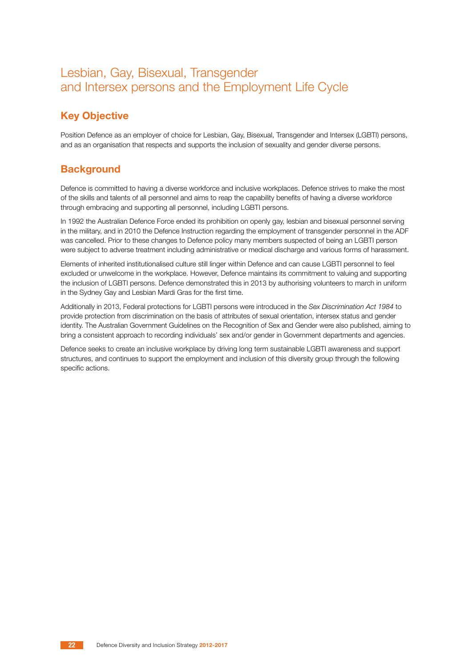#### Lesbian, Gay, Bisexual, Transgender and Intersex persons and the Employment Life Cycle

#### **Key Objective**

Position Defence as an employer of choice for Lesbian, Gay, Bisexual, Transgender and Intersex (LGBTI) persons, and as an organisation that respects and supports the inclusion of sexuality and gender diverse persons.

#### **Background**

Defence is committed to having a diverse workforce and inclusive workplaces. Defence strives to make the most of the skills and talents of all personnel and aims to reap the capability benefits of having a diverse workforce through embracing and supporting all personnel, including LGBTI persons.

In 1992 the Australian Defence Force ended its prohibition on openly gay, lesbian and bisexual personnel serving in the military, and in 2010 the Defence Instruction regarding the employment of transgender personnel in the ADF was cancelled. Prior to these changes to Defence policy many members suspected of being an LGBTI person were subject to adverse treatment including administrative or medical discharge and various forms of harassment.

Elements of inherited institutionalised culture still linger within Defence and can cause LGBTI personnel to feel excluded or unwelcome in the workplace. However, Defence maintains its commitment to valuing and supporting the inclusion of LGBTI persons. Defence demonstrated this in 2013 by authorising volunteers to march in uniform in the Sydney Gay and Lesbian Mardi Gras for the first time.

Additionally in 2013, Federal protections for LGBTI persons were introduced in the *Sex Discrimination Act 1984* to provide protection from discrimination on the basis of attributes of sexual orientation, intersex status and gender identity. The Australian Government Guidelines on the Recognition of Sex and Gender were also published, aiming to bring a consistent approach to recording individuals' sex and/or gender in Government departments and agencies.

Defence seeks to create an inclusive workplace by driving long term sustainable LGBTI awareness and support structures, and continues to support the employment and inclusion of this diversity group through the following specific actions.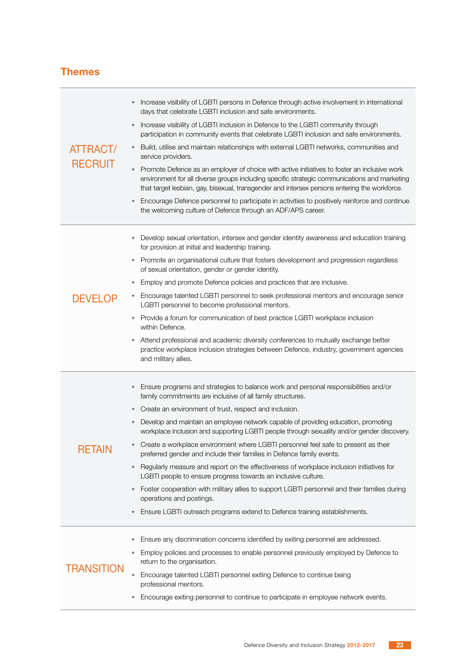| <b>ATTRACT/</b><br><b>RECRUIT</b> | Increase visibility of LGBTI persons in Defence through active involvement in international<br>days that celebrate LGBTI inclusion and safe environments.                                                                                                                                                 |
|-----------------------------------|-----------------------------------------------------------------------------------------------------------------------------------------------------------------------------------------------------------------------------------------------------------------------------------------------------------|
|                                   | Increase visibility of LGBTI inclusion in Defence to the LGBTI community through<br>$\bullet$<br>participation in community events that celebrate LGBTI inclusion and safe environments.                                                                                                                  |
|                                   | Build, utilise and maintain relationships with external LGBTI networks, communities and<br>service providers.                                                                                                                                                                                             |
|                                   | Promote Defence as an employer of choice with active initiatives to foster an inclusive work<br>$\bullet$<br>environment for all diverse groups including specific strategic communications and marketing<br>that target lesbian, gay, bisexual, transgender and intersex persons entering the workforce. |
|                                   | Encourage Defence personnel to participate in activities to positively reinforce and continue<br>$\bullet$<br>the welcoming culture of Defence through an ADF/APS career.                                                                                                                                 |
|                                   | Develop sexual orientation, intersex and gender identity awareness and education training<br>for provision at initial and leadership training.                                                                                                                                                            |
|                                   | Promote an organisational culture that fosters development and progression regardless<br>$\bullet$<br>of sexual orientation, gender or gender identity.                                                                                                                                                   |
|                                   | Employ and promote Defence policies and practices that are inclusive.<br>۰                                                                                                                                                                                                                                |
| <b>DEVELOP</b>                    | Encourage talented LGBTI personnel to seek professional mentors and encourage senior<br>$\bullet$<br>LGBTI personnel to become professional mentors.                                                                                                                                                      |
|                                   | Provide a forum for communication of best practice LGBTI workplace inclusion<br>within Defence.                                                                                                                                                                                                           |
|                                   | Attend professional and academic diversity conferences to mutually exchange better<br>practice workplace inclusion strategies between Defence, industry, government agencies<br>and military allies.                                                                                                      |
|                                   | • Ensure programs and strategies to balance work and personal responsibilities and/or                                                                                                                                                                                                                     |
|                                   | family commitments are inclusive of all family structures.                                                                                                                                                                                                                                                |
|                                   | • Create an environment of trust, respect and inclusion.                                                                                                                                                                                                                                                  |
|                                   | Develop and maintain an employee network capable of providing education, promoting<br>$\bullet$<br>workplace inclusion and supporting LGBTI people through sexuality and/or gender discovery.                                                                                                             |
| <b>RETAIN</b>                     | Create a workplace environment where LGBTI personnel feel safe to present as their<br>preferred gender and include their families in Defence family events.                                                                                                                                               |
|                                   | Regularly measure and report on the effectiveness of workplace inclusion initiatives for<br>LGBTI people to ensure progress towards an inclusive culture.                                                                                                                                                 |
|                                   | Foster cooperation with military allies to support LGBTI personnel and their families during<br>operations and postings.                                                                                                                                                                                  |
|                                   | Ensure LGBTI outreach programs extend to Defence training establishments.                                                                                                                                                                                                                                 |
|                                   |                                                                                                                                                                                                                                                                                                           |
|                                   | Ensure any discrimination concerns identified by exiting personnel are addressed.<br>Employ policies and processes to enable personnel previously employed by Defence to                                                                                                                                  |
| <b>TRANSITION</b>                 | return to the organisation.<br>Encourage talented LGBTI personnel exiting Defence to continue being<br>professional mentors.                                                                                                                                                                              |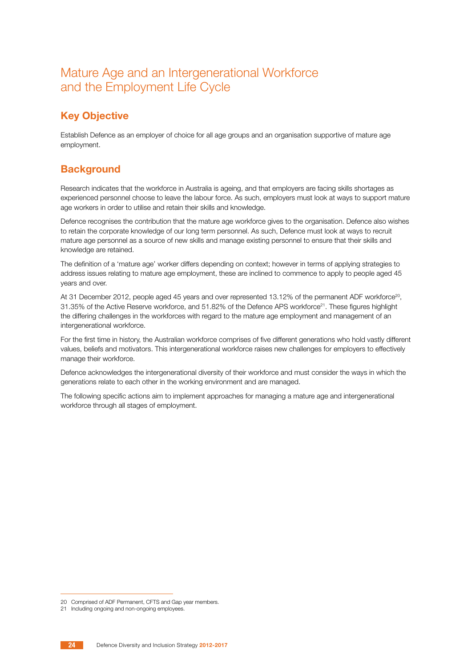#### Mature Age and an Intergenerational Workforce and the Employment Life Cycle

#### **Key Objective**

Establish Defence as an employer of choice for all age groups and an organisation supportive of mature age employment.

#### **Background**

Research indicates that the workforce in Australia is ageing, and that employers are facing skills shortages as experienced personnel choose to leave the labour force. As such, employers must look at ways to support mature age workers in order to utilise and retain their skills and knowledge.

Defence recognises the contribution that the mature age workforce gives to the organisation. Defence also wishes to retain the corporate knowledge of our long term personnel. As such, Defence must look at ways to recruit mature age personnel as a source of new skills and manage existing personnel to ensure that their skills and knowledge are retained.

The definition of a 'mature age' worker differs depending on context; however in terms of applying strategies to address issues relating to mature age employment, these are inclined to commence to apply to people aged 45 years and over.

At 31 December 2012, people aged 45 years and over represented 13.12% of the permanent ADF workforce<sup>20</sup>, 31.35% of the Active Reserve workforce, and 51.82% of the Defence APS workforce<sup>21</sup>. These figures highlight the differing challenges in the workforces with regard to the mature age employment and management of an intergenerational workforce.

For the first time in history, the Australian workforce comprises of five different generations who hold vastly different values, beliefs and motivators. This intergenerational workforce raises new challenges for employers to effectively manage their workforce.

Defence acknowledges the intergenerational diversity of their workforce and must consider the ways in which the generations relate to each other in the working environment and are managed.

The following specific actions aim to implement approaches for managing a mature age and intergenerational workforce through all stages of employment.

<sup>20</sup> Comprised of ADF Permanent, CFTS and Gap year members.

<sup>21</sup> Including ongoing and non-ongoing employees.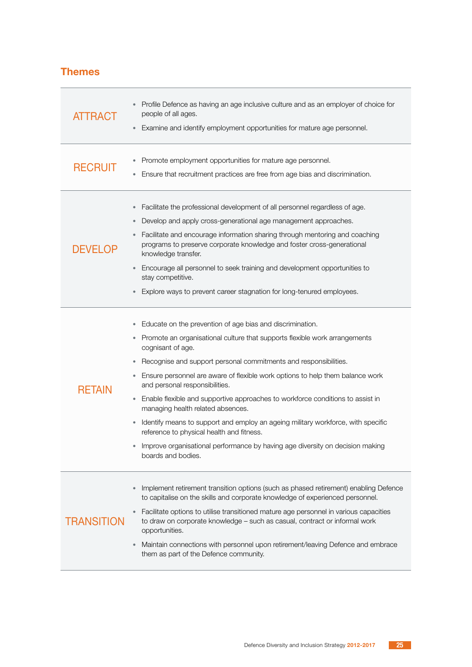| <b>ATTRACT</b>    | Profile Defence as having an age inclusive culture and as an employer of choice for<br>people of all ages.<br>Examine and identify employment opportunities for mature age personnel.                                                                                                                                                                                                                                                                                                                                                                                                                                                                                                                                                                    |
|-------------------|----------------------------------------------------------------------------------------------------------------------------------------------------------------------------------------------------------------------------------------------------------------------------------------------------------------------------------------------------------------------------------------------------------------------------------------------------------------------------------------------------------------------------------------------------------------------------------------------------------------------------------------------------------------------------------------------------------------------------------------------------------|
| <b>RECRUIT</b>    | Promote employment opportunities for mature age personnel.<br>Ensure that recruitment practices are free from age bias and discrimination.                                                                                                                                                                                                                                                                                                                                                                                                                                                                                                                                                                                                               |
| <b>DEVELOP</b>    | Facilitate the professional development of all personnel regardless of age.<br>$\bullet$<br>Develop and apply cross-generational age management approaches.<br>۰<br>Facilitate and encourage information sharing through mentoring and coaching<br>$\bullet$<br>programs to preserve corporate knowledge and foster cross-generational<br>knowledge transfer.<br>Encourage all personnel to seek training and development opportunities to<br>$\bullet$<br>stay competitive.<br>Explore ways to prevent career stagnation for long-tenured employees.                                                                                                                                                                                                    |
| <b>RETAIN</b>     | Educate on the prevention of age bias and discrimination.<br>۰<br>Promote an organisational culture that supports flexible work arrangements<br>۰<br>cognisant of age.<br>Recognise and support personal commitments and responsibilities.<br>۰<br>Ensure personnel are aware of flexible work options to help them balance work<br>۰<br>and personal responsibilities.<br>Enable flexible and supportive approaches to workforce conditions to assist in<br>$\bullet$<br>managing health related absences.<br>Identify means to support and employ an ageing military workforce, with specific<br>۰<br>reference to physical health and fitness.<br>Improve organisational performance by having age diversity on decision making<br>boards and bodies. |
| <b>TRANSITION</b> | Implement retirement transition options (such as phased retirement) enabling Defence<br>$\bullet$<br>to capitalise on the skills and corporate knowledge of experienced personnel.<br>Facilitate options to utilise transitioned mature age personnel in various capacities<br>to draw on corporate knowledge - such as casual, contract or informal work<br>opportunities.<br>Maintain connections with personnel upon retirement/leaving Defence and embrace<br>۰<br>them as part of the Defence community.                                                                                                                                                                                                                                            |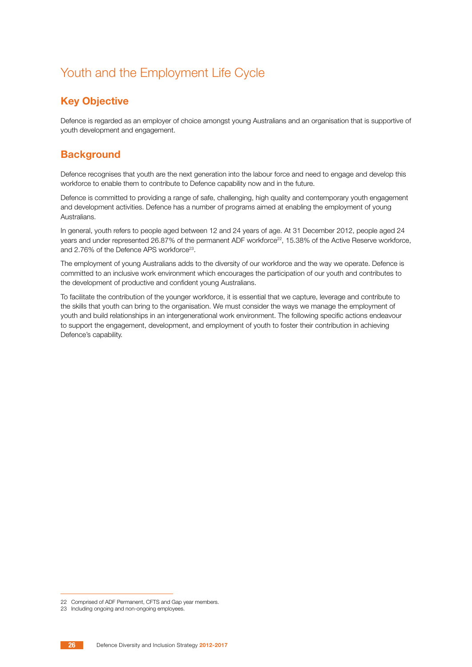### Youth and the Employment Life Cycle

#### **Key Objective**

Defence is regarded as an employer of choice amongst young Australians and an organisation that is supportive of youth development and engagement.

#### **Background**

Defence recognises that youth are the next generation into the labour force and need to engage and develop this workforce to enable them to contribute to Defence capability now and in the future.

Defence is committed to providing a range of safe, challenging, high quality and contemporary youth engagement and development activities. Defence has a number of programs aimed at enabling the employment of young Australians.

In general, youth refers to people aged between 12 and 24 years of age. At 31 December 2012, people aged 24 years and under represented 26.87% of the permanent ADF workforce<sup>22</sup>, 15.38% of the Active Reserve workforce, and 2.76% of the Defence APS workforce<sup>23</sup>.

The employment of young Australians adds to the diversity of our workforce and the way we operate. Defence is committed to an inclusive work environment which encourages the participation of our youth and contributes to the development of productive and confident young Australians.

To facilitate the contribution of the younger workforce, it is essential that we capture, leverage and contribute to the skills that youth can bring to the organisation. We must consider the ways we manage the employment of youth and build relationships in an intergenerational work environment. The following specific actions endeavour to support the engagement, development, and employment of youth to foster their contribution in achieving Defence's capability.

$$
-26
$$

<sup>22</sup> Comprised of ADF Permanent, CFTS and Gap year members.

<sup>23</sup> Including ongoing and non-ongoing employees.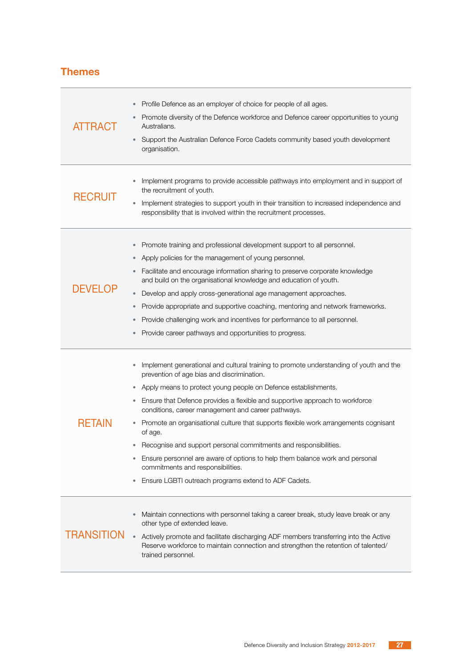| <b>ATTRACT</b>    | Profile Defence as an employer of choice for people of all ages.<br>$\bullet$<br>Promote diversity of the Defence workforce and Defence career opportunities to young<br>$\bullet$<br>Australians.<br>Support the Australian Defence Force Cadets community based youth development<br>organisation.                                                                                                                                                                                                                                                                                                                                                                                                                                 |
|-------------------|--------------------------------------------------------------------------------------------------------------------------------------------------------------------------------------------------------------------------------------------------------------------------------------------------------------------------------------------------------------------------------------------------------------------------------------------------------------------------------------------------------------------------------------------------------------------------------------------------------------------------------------------------------------------------------------------------------------------------------------|
| <b>RECRUIT</b>    | Implement programs to provide accessible pathways into employment and in support of<br>$\bullet$<br>the recruitment of youth.<br>Implement strategies to support youth in their transition to increased independence and<br>responsibility that is involved within the recruitment processes.                                                                                                                                                                                                                                                                                                                                                                                                                                        |
| <b>DEVELOP</b>    | Promote training and professional development support to all personnel.<br>$\bullet$<br>Apply policies for the management of young personnel.<br>Facilitate and encourage information sharing to preserve corporate knowledge<br>$\bullet$<br>and build on the organisational knowledge and education of youth.<br>Develop and apply cross-generational age management approaches.<br>Provide appropriate and supportive coaching, mentoring and network frameworks.<br>$\bullet$<br>Provide challenging work and incentives for performance to all personnel.<br>Provide career pathways and opportunities to progress.<br>$\bullet$                                                                                                |
| <b>RETAIN</b>     | Implement generational and cultural training to promote understanding of youth and the<br>$\bullet$<br>prevention of age bias and discrimination.<br>Apply means to protect young people on Defence establishments.<br>۰<br>Ensure that Defence provides a flexible and supportive approach to workforce<br>$\bullet$<br>conditions, career management and career pathways.<br>Promote an organisational culture that supports flexible work arrangements cognisant<br>of age.<br>Recognise and support personal commitments and responsibilities.<br>Ensure personnel are aware of options to help them balance work and personal<br>commitments and responsibilities.<br>Ensure LGBTI outreach programs extend to ADF Cadets.<br>۰ |
| <b>TRANSITION</b> | Maintain connections with personnel taking a career break, study leave break or any<br>$\bullet$<br>other type of extended leave.<br>Actively promote and facilitate discharging ADF members transferring into the Active<br>Reserve workforce to maintain connection and strengthen the retention of talented/<br>trained personnel.                                                                                                                                                                                                                                                                                                                                                                                                |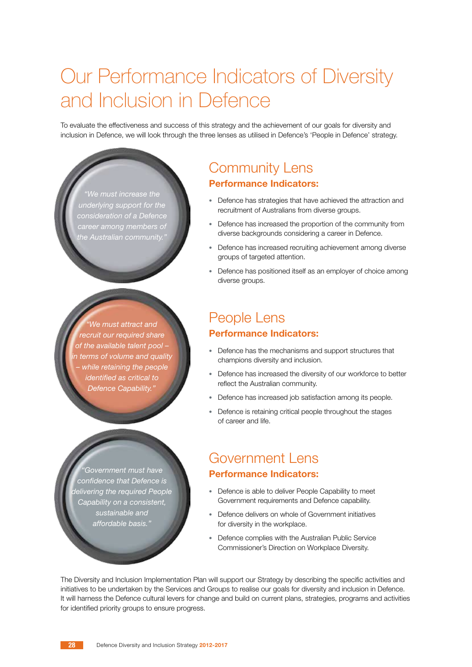## Our Performance Indicators of Diversity and Inclusion in Defence

To evaluate the effectiveness and success of this strategy and the achievement of our goals for diversity and inclusion in Defence, we will look through the three lenses as utilised in Defence's 'People in Defence' strategy.

*"We must increase the underlying support for the consideration of a Defence career among members of* 

*"We must attract and recruit our required share of the available talent pool – in terms of volume and quality – while retaining the people identified as critical to Defence Capability."*

*"Government must have confidence that Defence is delivering the required People Capability on a consistent, sustainable and affordable basis."*

#### Community Lens **Performance Indicators:**

- Defence has strategies that have achieved the attraction and recruitment of Australians from diverse groups.
- Defence has increased the proportion of the community from diverse backgrounds considering a career in Defence.
- Defence has increased recruiting achievement among diverse groups of targeted attention.
- Defence has positioned itself as an employer of choice among diverse groups.

#### People Lens **Performance Indicators:**

- Defence has the mechanisms and support structures that champions diversity and inclusion.
- Defence has increased the diversity of our workforce to better reflect the Australian community.
- Defence has increased job satisfaction among its people.
- Defence is retaining critical people throughout the stages of career and life.

#### Government Lens **Performance Indicators:**

- Defence is able to deliver People Capability to meet Government requirements and Defence capability.
- Defence delivers on whole of Government initiatives for diversity in the workplace.
- Defence complies with the Australian Public Service Commissioner's Direction on Workplace Diversity.

The Diversity and Inclusion Implementation Plan will support our Strategy by describing the specific activities and initiatives to be undertaken by the Services and Groups to realise our goals for diversity and inclusion in Defence. It will harness the Defence cultural levers for change and build on current plans, strategies, programs and activities for identified priority groups to ensure progress.